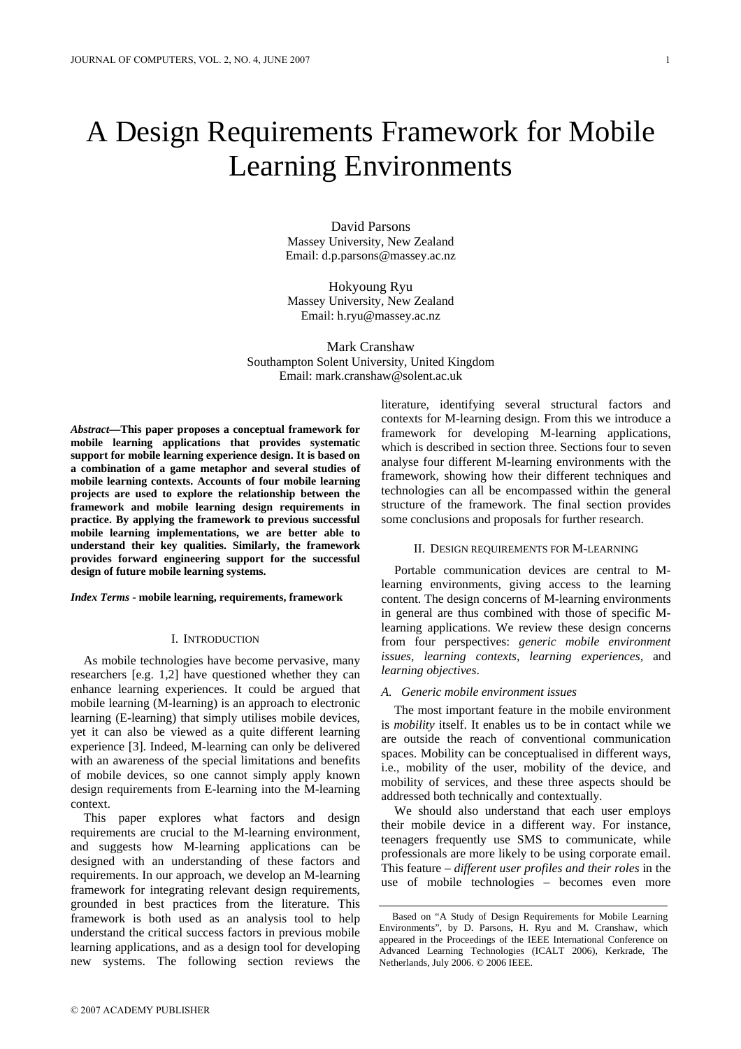# A Design Requirements Framework for Mobile Learning Environments

David Parsons Massey University, New Zealand Email: d.p.parsons@massey.ac.nz

Hokyoung Ryu Massey University, New Zealand Email: h.ryu@massey.ac.nz

Mark Cranshaw Southampton Solent University, United Kingdom Email: mark.cranshaw@solent.ac.uk

*Abstract***—This paper proposes a conceptual framework for mobile learning applications that provides systematic support for mobile learning experience design. It is based on a combination of a game metaphor and several studies of mobile learning contexts. Accounts of four mobile learning projects are used to explore the relationship between the framework and mobile learning design requirements in practice. By applying the framework to previous successful mobile learning implementations, we are better able to understand their key qualities. Similarly, the framework provides forward engineering support for the successful design of future mobile learning systems.**

#### *Index Terms* **- mobile learning, requirements, framework**

## I. INTRODUCTION

As mobile technologies have become pervasive, many researchers [e.g. 1,2] have questioned whether they can enhance learning experiences. It could be argued that mobile learning (M-learning) is an approach to electronic learning (E-learning) that simply utilises mobile devices, yet it can also be viewed as a quite different learning experience [3]. Indeed, M-learning can only be delivered with an awareness of the special limitations and benefits of mobile devices, so one cannot simply apply known design requirements from E-learning into the M-learning context.

This paper explores what factors and design requirements are crucial to the M-learning environment, and suggests how M-learning applications can be designed with an understanding of these factors and requirements. In our approach, we develop an M-learning framework for integrating relevant design requirements, grounded in best practices from the literature. This framework is both used as an analysis tool to help understand the critical success factors in previous mobile learning applications, and as a design tool for developing new systems. The following section reviews the

literature, identifying several structural factors and contexts for M-learning design. From this we introduce a framework for developing M-learning applications, which is described in section three. Sections four to seven analyse four different M-learning environments with the framework, showing how their different techniques and technologies can all be encompassed within the general structure of the framework. The final section provides some conclusions and proposals for further research.

## II. DESIGN REQUIREMENTS FOR M-LEARNING

Portable communication devices are central to Mlearning environments, giving access to the learning content. The design concerns of M-learning environments in general are thus combined with those of specific Mlearning applications. We review these design concerns from four perspectives: *generic mobile environment issues, learning contexts, learning experiences,* and *learning objectives*.

#### *A. Generic mobile environment issues*

The most important feature in the mobile environment is *mobility* itself. It enables us to be in contact while we are outside the reach of conventional communication spaces. Mobility can be conceptualised in different ways, i.e., mobility of the user, mobility of the device, and mobility of services, and these three aspects should be addressed both technically and contextually.

We should also understand that each user employs their mobile device in a different way. For instance, teenagers frequently use SMS to communicate, while professionals are more likely to be using corporate email. This feature – *different user profiles and their roles* in the use of mobile technologies – becomes even more

Based on "A Study of Design Requirements for Mobile Learning Environments", by D. Parsons, H. Ryu and M. Cranshaw, which appeared in the Proceedings of the IEEE International Conference on Advanced Learning Technologies (ICALT 2006), Kerkrade, The Netherlands, July 2006. © 2006 IEEE.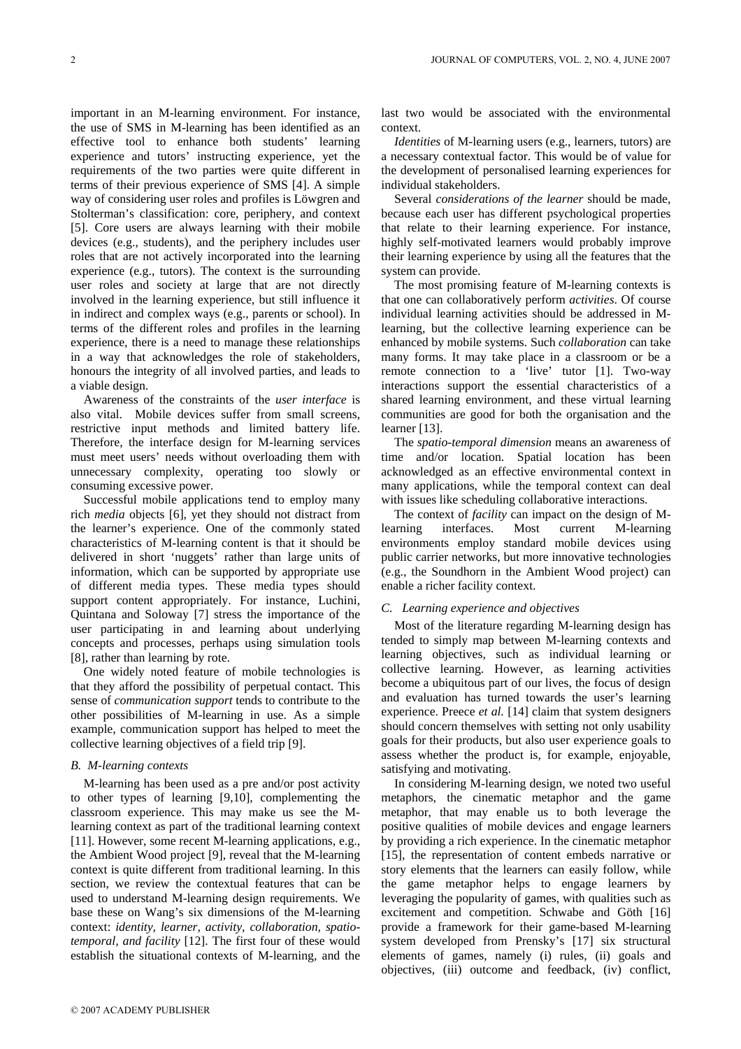important in an M-learning environment. For instance, the use of SMS in M-learning has been identified as an effective tool to enhance both students' learning experience and tutors' instructing experience, yet the requirements of the two parties were quite different in terms of their previous experience of SMS [4]. A simple way of considering user roles and profiles is Löwgren and Stolterman's classification: core, periphery, and context [5]. Core users are always learning with their mobile devices (e.g., students), and the periphery includes user roles that are not actively incorporated into the learning experience (e.g., tutors). The context is the surrounding user roles and society at large that are not directly involved in the learning experience, but still influence it in indirect and complex ways (e.g., parents or school). In terms of the different roles and profiles in the learning experience, there is a need to manage these relationships in a way that acknowledges the role of stakeholders, honours the integrity of all involved parties, and leads to a viable design.

Awareness of the constraints of the *user interface* is also vital. Mobile devices suffer from small screens, restrictive input methods and limited battery life. Therefore, the interface design for M-learning services must meet users' needs without overloading them with unnecessary complexity, operating too slowly or consuming excessive power.

Successful mobile applications tend to employ many rich *media* objects [6], yet they should not distract from the learner's experience. One of the commonly stated characteristics of M-learning content is that it should be delivered in short 'nuggets' rather than large units of information, which can be supported by appropriate use of different media types. These media types should support content appropriately. For instance, Luchini, Quintana and Soloway [7] stress the importance of the user participating in and learning about underlying concepts and processes, perhaps using simulation tools [8], rather than learning by rote.

One widely noted feature of mobile technologies is that they afford the possibility of perpetual contact. This sense of *communication support* tends to contribute to the other possibilities of M-learning in use. As a simple example, communication support has helped to meet the collective learning objectives of a field trip [9].

#### *B. M-learning contexts*

M-learning has been used as a pre and/or post activity to other types of learning [9,10], complementing the classroom experience. This may make us see the Mlearning context as part of the traditional learning context [11]. However, some recent M-learning applications, e.g., the Ambient Wood project [9], reveal that the M-learning context is quite different from traditional learning. In this section, we review the contextual features that can be used to understand M-learning design requirements. We base these on Wang's six dimensions of the M-learning context: *identity, learner, activity, collaboration, spatiotemporal, and facility* [12]. The first four of these would establish the situational contexts of M-learning, and the

last two would be associated with the environmental context.

*Identities* of M-learning users (e.g., learners, tutors) are a necessary contextual factor. This would be of value for the development of personalised learning experiences for individual stakeholders.

Several *considerations of the learner* should be made, because each user has different psychological properties that relate to their learning experience. For instance, highly self-motivated learners would probably improve their learning experience by using all the features that the system can provide.

The most promising feature of M-learning contexts is that one can collaboratively perform *activities*. Of course individual learning activities should be addressed in Mlearning, but the collective learning experience can be enhanced by mobile systems. Such *collaboration* can take many forms. It may take place in a classroom or be a remote connection to a 'live' tutor [1]. Two-way interactions support the essential characteristics of a shared learning environment, and these virtual learning communities are good for both the organisation and the learner [13].

The *spatio-temporal dimension* means an awareness of time and/or location. Spatial location has been acknowledged as an effective environmental context in many applications, while the temporal context can deal with issues like scheduling collaborative interactions.

The context of *facility* can impact on the design of Mlearning interfaces. Most current M-learning environments employ standard mobile devices using public carrier networks, but more innovative technologies (e.g., the Soundhorn in the Ambient Wood project) can enable a richer facility context.

## *C. Learning experience and objectives*

Most of the literature regarding M-learning design has tended to simply map between M-learning contexts and learning objectives, such as individual learning or collective learning. However, as learning activities become a ubiquitous part of our lives, the focus of design and evaluation has turned towards the user's learning experience. Preece *et al.* [14] claim that system designers should concern themselves with setting not only usability goals for their products, but also user experience goals to assess whether the product is, for example, enjoyable, satisfying and motivating.

In considering M-learning design, we noted two useful metaphors, the cinematic metaphor and the game metaphor, that may enable us to both leverage the positive qualities of mobile devices and engage learners by providing a rich experience. In the cinematic metaphor [15], the representation of content embeds narrative or story elements that the learners can easily follow, while the game metaphor helps to engage learners by leveraging the popularity of games, with qualities such as excitement and competition. Schwabe and Göth [16] provide a framework for their game-based M-learning system developed from Prensky's [17] six structural elements of games, namely (i) rules, (ii) goals and objectives, (iii) outcome and feedback, (iv) conflict,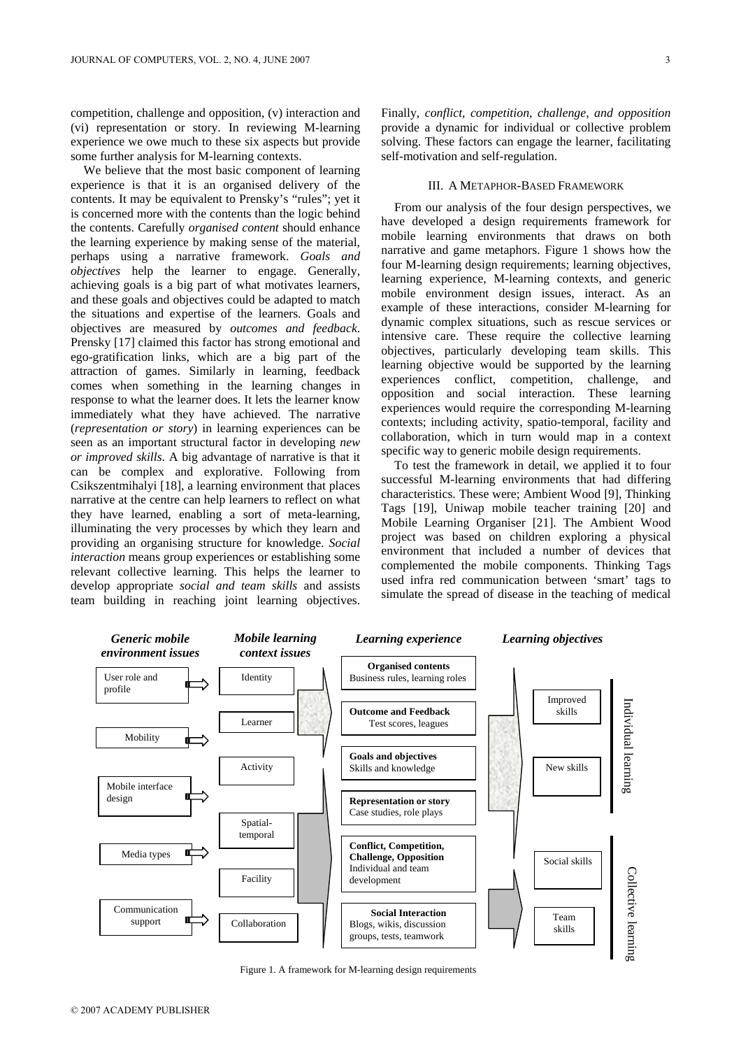competition, challenge and opposition, (v) interaction and (vi) representation or story. In reviewing M-learning experience we owe much to these six aspects but provide some further analysis for M-learning contexts.

We believe that the most basic component of learning experience is that it is an organised delivery of the contents. It may be equivalent to Prensky's "rules"; yet it is concerned more with the contents than the logic behind the contents. Carefully *organised content* should enhance the learning experience by making sense of the material, perhaps using a narrative framework. *Goals and objectives* help the learner to engage. Generally, achieving goals is a big part of what motivates learners, and these goals and objectives could be adapted to match the situations and expertise of the learners. Goals and objectives are measured by *outcomes and feedback*. Prensky [17] claimed this factor has strong emotional and ego-gratification links, which are a big part of the attraction of games. Similarly in learning, feedback comes when something in the learning changes in response to what the learner does. It lets the learner know immediately what they have achieved. The narrative (*representation or story*) in learning experiences can be seen as an important structural factor in developing *new or improved skills*. A big advantage of narrative is that it can be complex and explorative. Following from Csikszentmihalyi [18], a learning environment that places narrative at the centre can help learners to reflect on what they have learned, enabling a sort of meta-learning, illuminating the very processes by which they learn and providing an organising structure for knowledge. *Social interaction* means group experiences or establishing some relevant collective learning. This helps the learner to develop appropriate *social and team skills* and assists team building in reaching joint learning objectives.

Finally, *conflict, competition, challenge, and opposition* provide a dynamic for individual or collective problem solving. These factors can engage the learner, facilitating self-motivation and self-regulation.

# III. A METAPHOR-BASED FRAMEWORK

From our analysis of the four design perspectives, we have developed a design requirements framework for mobile learning environments that draws on both narrative and game metaphors. Figure 1 shows how the four M-learning design requirements; learning objectives, learning experience, M-learning contexts, and generic mobile environment design issues, interact. As an example of these interactions, consider M-learning for dynamic complex situations, such as rescue services or intensive care. These require the collective learning objectives, particularly developing team skills. This learning objective would be supported by the learning experiences conflict, competition, challenge, and opposition and social interaction. These learning experiences would require the corresponding M-learning contexts; including activity, spatio-temporal, facility and collaboration, which in turn would map in a context specific way to generic mobile design requirements.

To test the framework in detail, we applied it to four successful M-learning environments that had differing characteristics. These were; Ambient Wood [9], Thinking Tags [19], Uniwap mobile teacher training [20] and Mobile Learning Organiser [21]. The Ambient Wood project was based on children exploring a physical environment that included a number of devices that complemented the mobile components. Thinking Tags used infra red communication between 'smart' tags to simulate the spread of disease in the teaching of medical



Figure 1. A framework for M-learning design requirements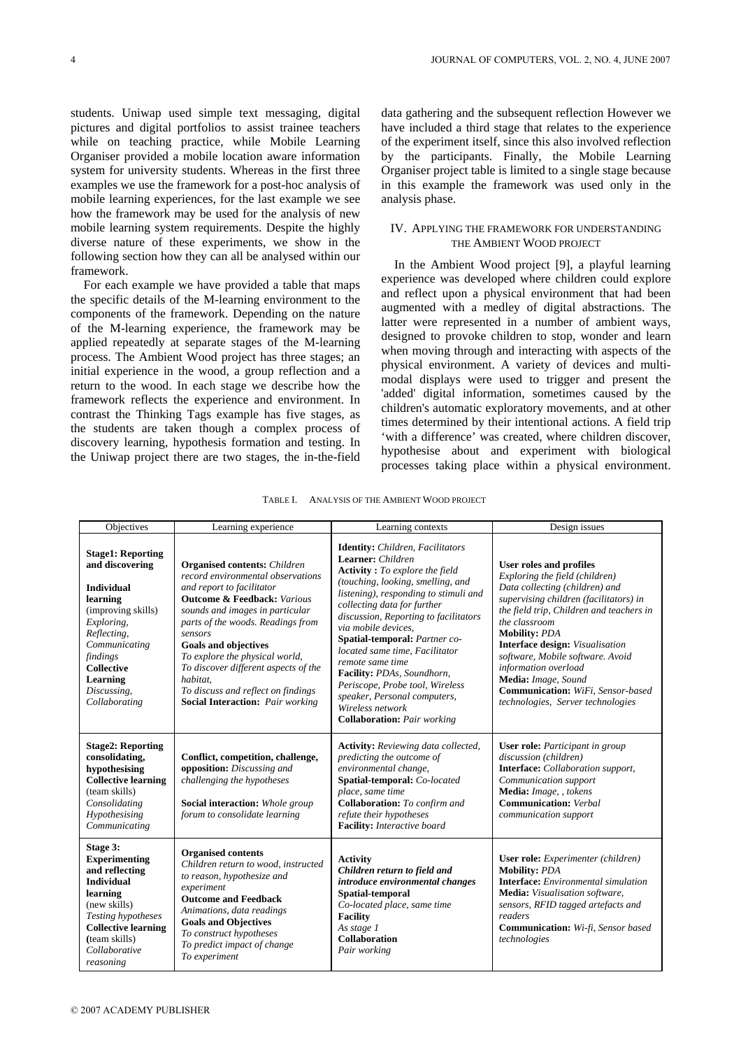students. Uniwap used simple text messaging, digital pictures and digital portfolios to assist trainee teachers while on teaching practice, while Mobile Learning Organiser provided a mobile location aware information system for university students. Whereas in the first three examples we use the framework for a post-hoc analysis of mobile learning experiences, for the last example we see how the framework may be used for the analysis of new mobile learning system requirements. Despite the highly diverse nature of these experiments, we show in the following section how they can all be analysed within our framework.

For each example we have provided a table that maps the specific details of the M-learning environment to the components of the framework. Depending on the nature of the M-learning experience, the framework may be applied repeatedly at separate stages of the M-learning process. The Ambient Wood project has three stages; an initial experience in the wood, a group reflection and a return to the wood. In each stage we describe how the framework reflects the experience and environment. In contrast the Thinking Tags example has five stages, as the students are taken though a complex process of discovery learning, hypothesis formation and testing. In the Uniwap project there are two stages, the in-the-field data gathering and the subsequent reflection However we have included a third stage that relates to the experience of the experiment itself, since this also involved reflection by the participants. Finally, the Mobile Learning Organiser project table is limited to a single stage because in this example the framework was used only in the analysis phase.

# IV. APPLYING THE FRAMEWORK FOR UNDERSTANDING THE AMBIENT WOOD PROJECT

In the Ambient Wood project [9], a playful learning experience was developed where children could explore and reflect upon a physical environment that had been augmented with a medley of digital abstractions. The latter were represented in a number of ambient ways, designed to provoke children to stop, wonder and learn when moving through and interacting with aspects of the physical environment. A variety of devices and multimodal displays were used to trigger and present the 'added' digital information, sometimes caused by the children's automatic exploratory movements, and at other times determined by their intentional actions. A field trip 'with a difference' was created, where children discover, hypothesise about and experiment with biological processes taking place within a physical environment.

| Objectives                                                                                                                                                                                                                    | Learning experience                                                                                                                                                                                                                                                                                                                                                                                                                      | Learning contexts                                                                                                                                                                                                                                                                                                                                                                                                                                                                                                              | Design issues                                                                                                                                                                                                                                                                                                                                                                                                                            |
|-------------------------------------------------------------------------------------------------------------------------------------------------------------------------------------------------------------------------------|------------------------------------------------------------------------------------------------------------------------------------------------------------------------------------------------------------------------------------------------------------------------------------------------------------------------------------------------------------------------------------------------------------------------------------------|--------------------------------------------------------------------------------------------------------------------------------------------------------------------------------------------------------------------------------------------------------------------------------------------------------------------------------------------------------------------------------------------------------------------------------------------------------------------------------------------------------------------------------|------------------------------------------------------------------------------------------------------------------------------------------------------------------------------------------------------------------------------------------------------------------------------------------------------------------------------------------------------------------------------------------------------------------------------------------|
| <b>Stage1: Reporting</b><br>and discovering<br><b>Individual</b><br>learning<br>(improving skills)<br>Exploring,<br>Reflecting,<br>Communicating<br>findings<br><b>Collective</b><br>Learning<br>Discussing,<br>Collaborating | <b>Organised contents:</b> Children<br>record environmental observations<br>and report to facilitator<br><b>Outcome &amp; Feedback:</b> Various<br>sounds and images in particular<br>parts of the woods. Readings from<br>sensors<br><b>Goals and objectives</b><br>To explore the physical world,<br>To discover different aspects of the<br>habitat,<br>To discuss and reflect on findings<br><b>Social Interaction:</b> Pair working | Identity: Children, Facilitators<br>Learner: Children<br><b>Activity</b> : To explore the field<br>(touching, looking, smelling, and<br>listening), responding to stimuli and<br>collecting data for further<br>discussion, Reporting to facilitators<br>via mobile devices,<br>Spatial-temporal: Partner co-<br>located same time, Facilitator<br>remote same time<br>Facility: PDAs, Soundhorn,<br>Periscope, Probe tool, Wireless<br>speaker, Personal computers,<br>Wireless network<br><b>Collaboration:</b> Pair working | <b>User roles and profiles</b><br>Exploring the field (children)<br>Data collecting (children) and<br>supervising children (facilitators) in<br>the field trip, Children and teachers in<br>the classroom<br><b>Mobility: PDA</b><br><b>Interface design:</b> Visualisation<br>software, Mobile software. Avoid<br>information overload<br>Media: Image, Sound<br>Communication: WiFi, Sensor-based<br>technologies, Server technologies |
| <b>Stage2: Reporting</b><br>consolidating,<br>hypothesising<br><b>Collective learning</b><br>(team skills)<br>Consolidating<br>Hypothesising<br>Communicating                                                                 | Conflict, competition, challenge,<br>opposition: Discussing and<br>challenging the hypotheses<br>Social interaction: Whole group<br>forum to consolidate learning                                                                                                                                                                                                                                                                        | Activity: Reviewing data collected,<br>predicting the outcome of<br>environmental change,<br>Spatial-temporal: Co-located<br>place, same time<br>Collaboration: To confirm and<br>refute their hypotheses<br>Facility: Interactive board                                                                                                                                                                                                                                                                                       | User role: Participant in group<br>discussion (children)<br><b>Interface:</b> Collaboration support,<br>Communication support<br>Media: Image, , tokens<br><b>Communication:</b> Verbal<br>communication support                                                                                                                                                                                                                         |
| Stage 3:<br><b>Experimenting</b><br>and reflecting<br><b>Individual</b><br>learning<br>(new skills)<br>Testing hypotheses<br><b>Collective learning</b><br>(team skills)                                                      | <b>Organised contents</b><br>Children return to wood, instructed<br>to reason, hypothesize and<br>experiment<br><b>Outcome and Feedback</b><br>Animations, data readings<br><b>Goals and Objectives</b><br>To construct hypotheses<br>$\mathbf{T}$ and $\mathbf{I}$ and $\mathbf{I}$ and $\mathbf{I}$ and $\mathbf{I}$                                                                                                                   | <b>Activity</b><br>Children return to field and<br>introduce environmental changes<br>Spatial-temporal<br>Co-located place, same time<br><b>Facility</b><br>As stage 1<br><b>Collaboration</b>                                                                                                                                                                                                                                                                                                                                 | User role: Experimenter (children)<br><b>Mobility: PDA</b><br><b>Interface:</b> Environmental simulation<br>Media: Visualisation software,<br>sensors, RFID tagged artefacts and<br>readers<br><b>Communication:</b> Wi-fi, Sensor based<br>technologies                                                                                                                                                                                 |

*Pair working* 

| TABLE I. | ANALYSIS OF THE AMBIENT WOOD PROJECT |  |  |
|----------|--------------------------------------|--|--|
|----------|--------------------------------------|--|--|

*To predict impact of change* 

*To experiment*

*Collaborative reasoning*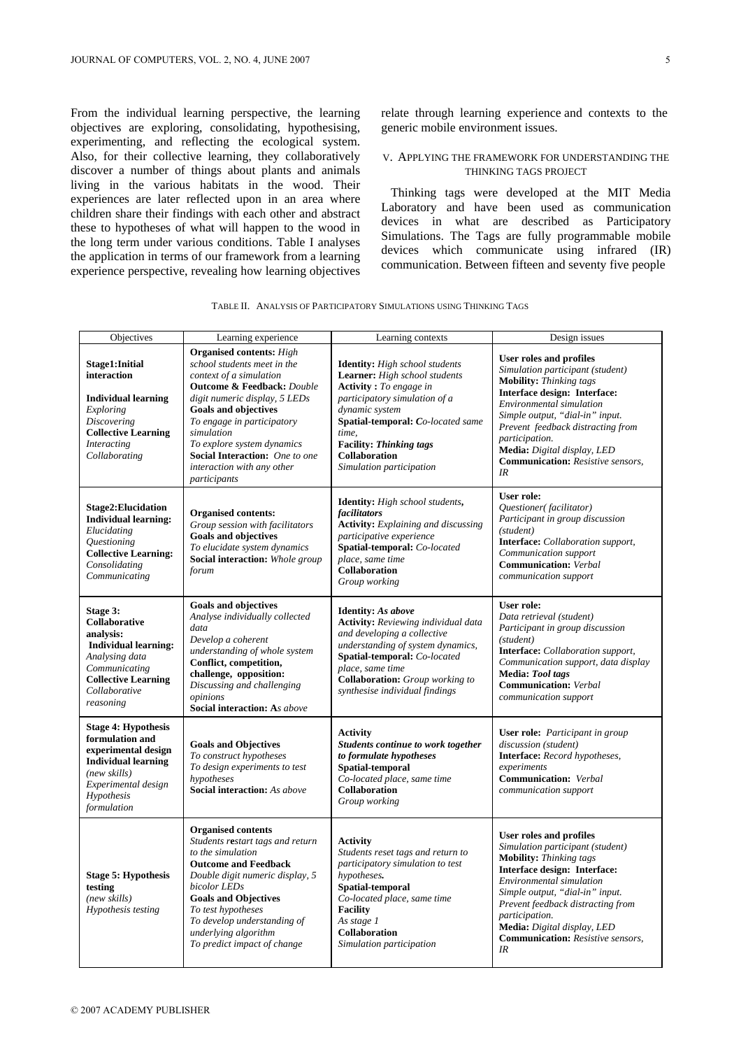From the individual learning perspective, the learning objectives are exploring, consolidating, hypothesising, experimenting, and reflecting the ecological system. Also, for their collective learning, they collaboratively discover a number of things about plants and animals living in the various habitats in the wood. Their experiences are later reflected upon in an area where children share their findings with each other and abstract these to hypotheses of what will happen to the wood in the long term under various conditions. Table I analyses the application in terms of our framework from a learning experience perspective, revealing how learning objectives

relate through learning experience and contexts to the generic mobile environment issues.

## V. APPLYING THE FRAMEWORK FOR UNDERSTANDING THE THINKING TAGS PROJECT

Thinking tags were developed at the MIT Media Laboratory and have been used as communication devices in what are described as Participatory Simulations. The Tags are fully programmable mobile devices which communicate using infrared (IR) communication. Between fifteen and seventy five people

| Objectives                                                                                                                                                             | Learning experience                                                                                                                                                                                                                                                                                                                                          | Learning contexts                                                                                                                                                                                                                                                           | Design issues                                                                                                                                                                                                                                                                                                                               |
|------------------------------------------------------------------------------------------------------------------------------------------------------------------------|--------------------------------------------------------------------------------------------------------------------------------------------------------------------------------------------------------------------------------------------------------------------------------------------------------------------------------------------------------------|-----------------------------------------------------------------------------------------------------------------------------------------------------------------------------------------------------------------------------------------------------------------------------|---------------------------------------------------------------------------------------------------------------------------------------------------------------------------------------------------------------------------------------------------------------------------------------------------------------------------------------------|
| Stage1:Initial<br>interaction<br><b>Individual learning</b><br>Exploring<br>Discovering<br><b>Collective Learning</b><br><b>Interacting</b><br>Collaborating           | <b>Organised contents:</b> High<br>school students meet in the<br>context of a simulation<br><b>Outcome &amp; Feedback:</b> Double<br>digit numeric display, 5 LEDs<br><b>Goals and objectives</b><br>To engage in participatory<br>simulation<br>To explore system dynamics<br>Social Interaction: One to one<br>interaction with any other<br>participants | Identity: High school students<br>Learner: High school students<br>Activity: To engage in<br>participatory simulation of a<br>dynamic system<br>Spatial-temporal: Co-located same<br>time.<br><b>Facility: Thinking tags</b><br>Collaboration<br>Simulation participation   | <b>User roles and profiles</b><br>Simulation participant (student)<br><b>Mobility:</b> Thinking tags<br>Interface design: Interface:<br>Environmental simulation<br>Simple output, "dial-in" input.<br>Prevent feedback distracting from<br>participation.<br>Media: Digital display, LED<br><b>Communication:</b> Resistive sensors,<br>IR |
| <b>Stage2:Elucidation</b><br><b>Individual learning:</b><br>Elucidating<br><i><b>Questioning</b></i><br><b>Collective Learning:</b><br>Consolidating<br>Communicating  | <b>Organised contents:</b><br>Group session with facilitators<br><b>Goals and objectives</b><br>To elucidate system dynamics<br>Social interaction: Whole group<br>forum                                                                                                                                                                                     | Identity: High school students,<br>facilitators<br><b>Activity:</b> Explaining and discussing<br>participative experience<br>Spatial-temporal: Co-located<br>place, same time<br>Collaboration<br>Group working                                                             | <b>User role:</b><br>Questioner(facilitator)<br>Participant in group discussion<br>(student)<br>Interface: Collaboration support,<br>Communication support<br><b>Communication:</b> Verbal<br>communication support                                                                                                                         |
| Stage 3:<br>Collaborative<br>analysis:<br><b>Individual learning:</b><br>Analysing data<br>Communicating<br><b>Collective Learning</b><br>Collaborative<br>reasoning   | <b>Goals and objectives</b><br>Analyse individually collected<br>data<br>Develop a coherent<br>understanding of whole system<br>Conflict, competition,<br>challenge, opposition:<br>Discussing and challenging<br>opinions<br><b>Social interaction: As above</b>                                                                                            | <b>Identity:</b> As above<br><b>Activity:</b> Reviewing individual data<br>and developing a collective<br>understanding of system dynamics,<br>Spatial-temporal: Co-located<br>place, same time<br><b>Collaboration:</b> Group working to<br>synthesise individual findings | User role:<br>Data retrieval (student)<br>Participant in group discussion<br>(student)<br>Interface: Collaboration support,<br>Communication support, data display<br>Media: Tool tags<br><b>Communication:</b> Verbal<br>communication support                                                                                             |
| <b>Stage 4: Hypothesis</b><br>formulation and<br>experimental design<br><b>Individual learning</b><br>(new skills)<br>Experimental design<br>Hypothesis<br>formulation | <b>Goals and Objectives</b><br>To construct hypotheses<br>To design experiments to test<br>hypotheses<br><b>Social interaction:</b> As above                                                                                                                                                                                                                 | <b>Activity</b><br>Students continue to work together<br>to formulate hypotheses<br>Spatial-temporal<br>Co-located place, same time<br>Collaboration<br>Group working                                                                                                       | User role: Participant in group<br>discussion (student)<br>Interface: Record hypotheses,<br>experiments<br><b>Communication:</b> Verbal<br>communication support                                                                                                                                                                            |
| <b>Stage 5: Hypothesis</b><br>testing<br>(new skills)<br>Hypothesis testing                                                                                            | <b>Organised contents</b><br>Students restart tags and return<br>to the simulation<br><b>Outcome and Feedback</b><br>Double digit numeric display, 5<br>bicolor LEDs<br><b>Goals and Objectives</b><br>To test hypotheses<br>To develop understanding of<br>underlying algorithm<br>To predict impact of change                                              | <b>Activity</b><br>Students reset tags and return to<br>participatory simulation to test<br>hypotheses.<br>Spatial-temporal<br>Co-located place, same time<br><b>Facility</b><br>As stage 1<br>Collaboration<br>Simulation participation                                    | User roles and profiles<br>Simulation participant (student)<br><b>Mobility:</b> Thinking tags<br>Interface design: Interface:<br>Environmental simulation<br>Simple output, "dial-in" input.<br>Prevent feedback distracting from<br>participation.<br>Media: Digital display, LED<br><b>Communication:</b> Resistive sensors,<br>IR        |

TABLE II. ANALYSIS OF PARTICIPATORY SIMULATIONS USING THINKING TAGS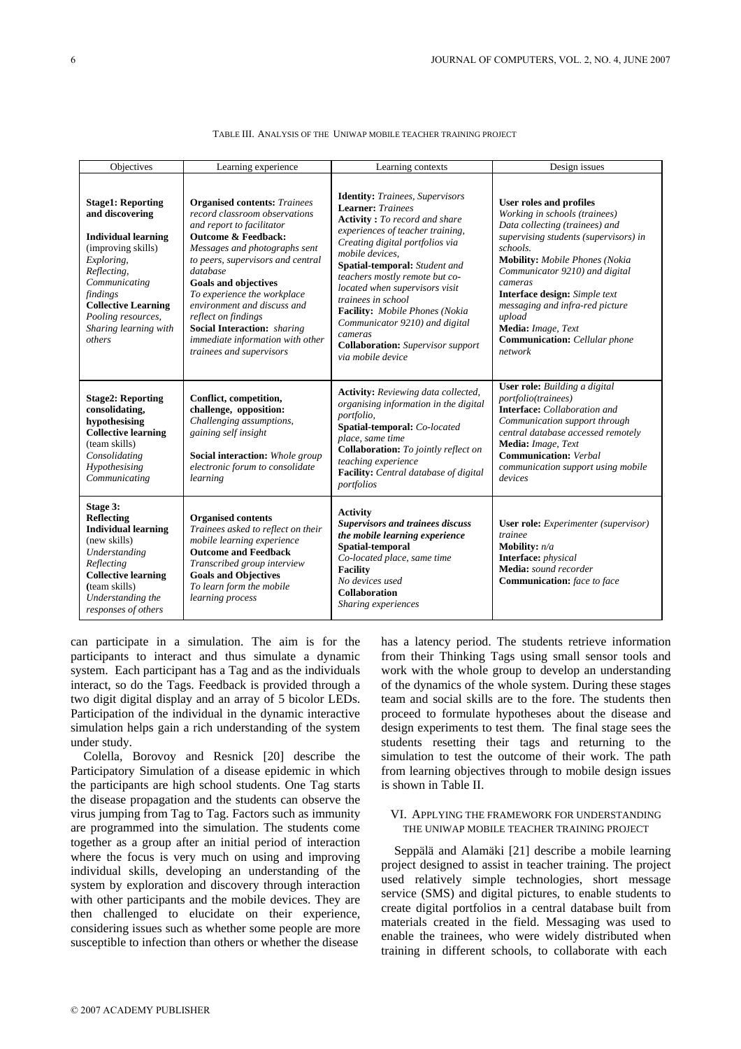| Objectives                                                                                                                                                                                                                                       | Learning experience                                                                                                                                                                                                                                                                                                                                                                                                                             | Learning contexts                                                                                                                                                                                                                                                                                                                                                                                                                                                                       | Design issues                                                                                                                                                                                                                                                                                                                                                                                |
|--------------------------------------------------------------------------------------------------------------------------------------------------------------------------------------------------------------------------------------------------|-------------------------------------------------------------------------------------------------------------------------------------------------------------------------------------------------------------------------------------------------------------------------------------------------------------------------------------------------------------------------------------------------------------------------------------------------|-----------------------------------------------------------------------------------------------------------------------------------------------------------------------------------------------------------------------------------------------------------------------------------------------------------------------------------------------------------------------------------------------------------------------------------------------------------------------------------------|----------------------------------------------------------------------------------------------------------------------------------------------------------------------------------------------------------------------------------------------------------------------------------------------------------------------------------------------------------------------------------------------|
| <b>Stage1: Reporting</b><br>and discovering<br><b>Individual learning</b><br>(improving skills)<br>Exploring,<br>Reflecting,<br>Communicating<br>findings<br><b>Collective Learning</b><br>Pooling resources,<br>Sharing learning with<br>others | <b>Organised contents:</b> Trainees<br>record classroom observations<br>and report to facilitator<br><b>Outcome &amp; Feedback:</b><br>Messages and photographs sent<br>to peers, supervisors and central<br>database<br><b>Goals and objectives</b><br>To experience the workplace<br>environment and discuss and<br>reflect on findings<br><b>Social Interaction:</b> sharing<br>immediate information with other<br>trainees and supervisors | <b>Identity:</b> Trainees, Supervisors<br><b>Learner:</b> Trainees<br><b>Activity</b> : To record and share<br>experiences of teacher training,<br>Creating digital portfolios via<br>mobile devices.<br><b>Spatial-temporal:</b> Student and<br>teachers mostly remote but co-<br>located when supervisors visit<br>trainees in school<br>Facility: Mobile Phones (Nokia<br>Communicator 9210) and digital<br>cameras<br><b>Collaboration:</b> Supervisor support<br>via mobile device | User roles and profiles<br>Working in schools (trainees)<br>Data collecting (trainees) and<br>supervising students (supervisors) in<br>schools.<br><b>Mobility:</b> Mobile Phones (Nokia<br>Communicator 9210) and digital<br>cameras<br>Interface design: Simple text<br>messaging and infra-red picture<br>upload<br>Media: Image, Text<br><b>Communication:</b> Cellular phone<br>network |
| <b>Stage2: Reporting</b><br>consolidating,<br>hypothesising<br><b>Collective learning</b><br>(team skills)<br>Consolidating<br>Hypothesising<br>Communicating                                                                                    | Conflict, competition,<br>challenge, opposition:<br>Challenging assumptions,<br>gaining self insight<br>Social interaction: Whole group<br>electronic forum to consolidate<br>learning                                                                                                                                                                                                                                                          | <b>Activity:</b> Reviewing data collected,<br>organising information in the digital<br>portfolio,<br>Spatial-temporal: Co-located<br>place, same time<br><b>Collaboration:</b> To jointly reflect on<br>teaching experience<br>Facility: Central database of digital<br>portfolios                                                                                                                                                                                                      | <b>User role:</b> Building a digital<br><i>portfolio(trainees)</i><br><b>Interface:</b> Collaboration and<br>Communication support through<br>central database accessed remotely<br>Media: Image, Text<br><b>Communication:</b> Verbal<br>communication support using mobile<br>devices                                                                                                      |
| Stage 3:<br><b>Reflecting</b><br><b>Individual learning</b><br>(new skills)<br>Understanding<br>Reflecting<br><b>Collective learning</b><br>(team skills)<br>Understanding the<br>responses of others                                            | <b>Organised contents</b><br>Trainees asked to reflect on their<br>mobile learning experience<br><b>Outcome and Feedback</b><br>Transcribed group interview<br><b>Goals and Objectives</b><br>To learn form the mobile<br>learning process                                                                                                                                                                                                      | <b>Activity</b><br>Supervisors and trainees discuss<br>the mobile learning experience<br>Spatial-temporal<br>Co-located place, same time<br><b>Facility</b><br>No devices used<br>Collaboration<br>Sharing experiences                                                                                                                                                                                                                                                                  | User role: Experimenter (supervisor)<br>trainee<br><b>Mobility:</b> $n/a$<br><b>Interface:</b> physical<br>Media: sound recorder<br><b>Communication:</b> face to face                                                                                                                                                                                                                       |

#### TABLE III. ANALYSIS OF THE UNIWAP MOBILE TEACHER TRAINING PROJECT

can participate in a simulation. The aim is for the participants to interact and thus simulate a dynamic system. Each participant has a Tag and as the individuals interact, so do the Tags. Feedback is provided through a two digit digital display and an array of 5 bicolor LEDs. Participation of the individual in the dynamic interactive simulation helps gain a rich understanding of the system under study.

Colella, Borovoy and Resnick [20] describe the Participatory Simulation of a disease epidemic in which the participants are high school students. One Tag starts the disease propagation and the students can observe the virus jumping from Tag to Tag. Factors such as immunity are programmed into the simulation. The students come together as a group after an initial period of interaction where the focus is very much on using and improving individual skills, developing an understanding of the system by exploration and discovery through interaction with other participants and the mobile devices. They are then challenged to elucidate on their experience, considering issues such as whether some people are more susceptible to infection than others or whether the disease

has a latency period. The students retrieve information from their Thinking Tags using small sensor tools and work with the whole group to develop an understanding of the dynamics of the whole system. During these stages team and social skills are to the fore. The students then proceed to formulate hypotheses about the disease and design experiments to test them. The final stage sees the students resetting their tags and returning to the simulation to test the outcome of their work. The path from learning objectives through to mobile design issues is shown in Table II.

# VI. APPLYING THE FRAMEWORK FOR UNDERSTANDING THE UNIWAP MOBILE TEACHER TRAINING PROJECT

Seppälä and Alamäki [21] describe a mobile learning project designed to assist in teacher training. The project used relatively simple technologies, short message service (SMS) and digital pictures, to enable students to create digital portfolios in a central database built from materials created in the field. Messaging was used to enable the trainees, who were widely distributed when training in different schools, to collaborate with each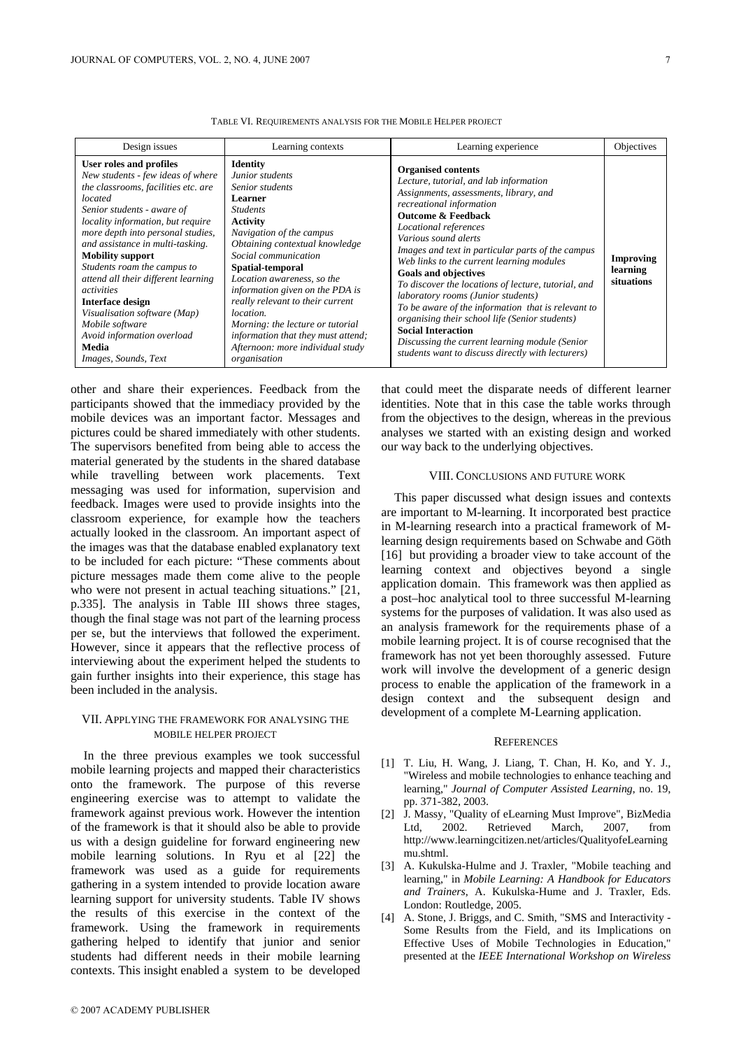| Design issues                                                                                                                                                                                                                                                                                                                                                                                                                                                                                                          | Learning contexts                                                                                                                                                                                                                                                                                                                                                                                                                                                | Learning experience                                                                                                                                                                                                                                                                                                                                                                                                                                                                                                                                                                                                                                                                                   | Objectives                          |
|------------------------------------------------------------------------------------------------------------------------------------------------------------------------------------------------------------------------------------------------------------------------------------------------------------------------------------------------------------------------------------------------------------------------------------------------------------------------------------------------------------------------|------------------------------------------------------------------------------------------------------------------------------------------------------------------------------------------------------------------------------------------------------------------------------------------------------------------------------------------------------------------------------------------------------------------------------------------------------------------|-------------------------------------------------------------------------------------------------------------------------------------------------------------------------------------------------------------------------------------------------------------------------------------------------------------------------------------------------------------------------------------------------------------------------------------------------------------------------------------------------------------------------------------------------------------------------------------------------------------------------------------------------------------------------------------------------------|-------------------------------------|
| User roles and profiles<br>New students - few ideas of where<br>the classrooms, facilities etc. are<br>located<br>Senior students - aware of<br>locality information, but require<br>more depth into personal studies,<br>and assistance in multi-tasking.<br><b>Mobility support</b><br>Students roam the campus to<br>attend all their different learning<br>activities<br><b>Interface design</b><br>Visualisation software (Map)<br>Mobile software<br>Avoid information overload<br>Media<br>Images, Sounds, Text | <b>Identity</b><br>Junior students<br>Senior students<br>Learner<br><b>Students</b><br>Activity<br>Navigation of the campus<br>Obtaining contextual knowledge<br>Social communication<br>Spatial-temporal<br>Location awareness, so the<br>information given on the PDA is<br>really relevant to their current<br><i>location.</i><br>Morning: the lecture or tutorial<br>information that they must attend;<br>Afternoon: more individual study<br>organisation | <b>Organised contents</b><br>Lecture, tutorial, and lab information<br>Assignments, assessments, library, and<br>recreational information<br><b>Outcome &amp; Feedback</b><br>Locational references<br>Various sound alerts<br>Images and text in particular parts of the campus<br>Web links to the current learning modules<br><b>Goals and objectives</b><br>To discover the locations of lecture, tutorial, and<br>laboratory rooms (Junior students)<br>To be aware of the information that is relevant to<br>organising their school life (Senior students)<br><b>Social Interaction</b><br>Discussing the current learning module (Senior<br>students want to discuss directly with lecturers) | Improving<br>learning<br>situations |

TABLE VI. REQUIREMENTS ANALYSIS FOR THE MOBILE HELPER PROJECT

other and share their experiences. Feedback from the participants showed that the immediacy provided by the mobile devices was an important factor. Messages and pictures could be shared immediately with other students. The supervisors benefited from being able to access the material generated by the students in the shared database while travelling between work placements. Text messaging was used for information, supervision and feedback. Images were used to provide insights into the classroom experience, for example how the teachers actually looked in the classroom. An important aspect of the images was that the database enabled explanatory text to be included for each picture: "These comments about picture messages made them come alive to the people who were not present in actual teaching situations." [21, p.335]. The analysis in Table III shows three stages, though the final stage was not part of the learning process per se, but the interviews that followed the experiment. However, since it appears that the reflective process of interviewing about the experiment helped the students to gain further insights into their experience, this stage has been included in the analysis.

# VII. APPLYING THE FRAMEWORK FOR ANALYSING THE MOBILE HELPER PROJECT

In the three previous examples we took successful mobile learning projects and mapped their characteristics onto the framework. The purpose of this reverse engineering exercise was to attempt to validate the framework against previous work. However the intention of the framework is that it should also be able to provide us with a design guideline for forward engineering new mobile learning solutions. In Ryu et al [22] the framework was used as a guide for requirements gathering in a system intended to provide location aware learning support for university students. Table IV shows the results of this exercise in the context of the framework. Using the framework in requirements gathering helped to identify that junior and senior students had different needs in their mobile learning contexts. This insight enabled a system to be developed

that could meet the disparate needs of different learner identities. Note that in this case the table works through from the objectives to the design, whereas in the previous analyses we started with an existing design and worked our way back to the underlying objectives.

### VIII. CONCLUSIONS AND FUTURE WORK

This paper discussed what design issues and contexts are important to M-learning. It incorporated best practice in M-learning research into a practical framework of Mlearning design requirements based on Schwabe and Göth [16] but providing a broader view to take account of the learning context and objectives beyond a single application domain. This framework was then applied as a post–hoc analytical tool to three successful M-learning systems for the purposes of validation. It was also used as an analysis framework for the requirements phase of a mobile learning project. It is of course recognised that the framework has not yet been thoroughly assessed. Future work will involve the development of a generic design process to enable the application of the framework in a design context and the subsequent design and development of a complete M-Learning application.

#### **REFERENCES**

- [1] T. Liu, H. Wang, J. Liang, T. Chan, H. Ko, and Y. J., "Wireless and mobile technologies to enhance teaching and learning," *Journal of Computer Assisted Learning*, no. 19, pp. 371-382, 2003.
- [2] J. Massy, "Quality of eLearning Must Improve", BizMedia Ltd, 2002. Retrieved March, 2007, from http://www.learningcitizen.net/articles/QualityofeLearning mu.shtml.
- [3] A. Kukulska-Hulme and J. Traxler, "Mobile teaching and learning," in *Mobile Learning: A Handbook for Educators and Trainers*, A. Kukulska-Hume and J. Traxler, Eds. London: Routledge, 2005.
- [4] A. Stone, J. Briggs, and C. Smith, "SMS and Interactivity Some Results from the Field, and its Implications on Effective Uses of Mobile Technologies in Education," presented at the *IEEE International Workshop on Wireless*